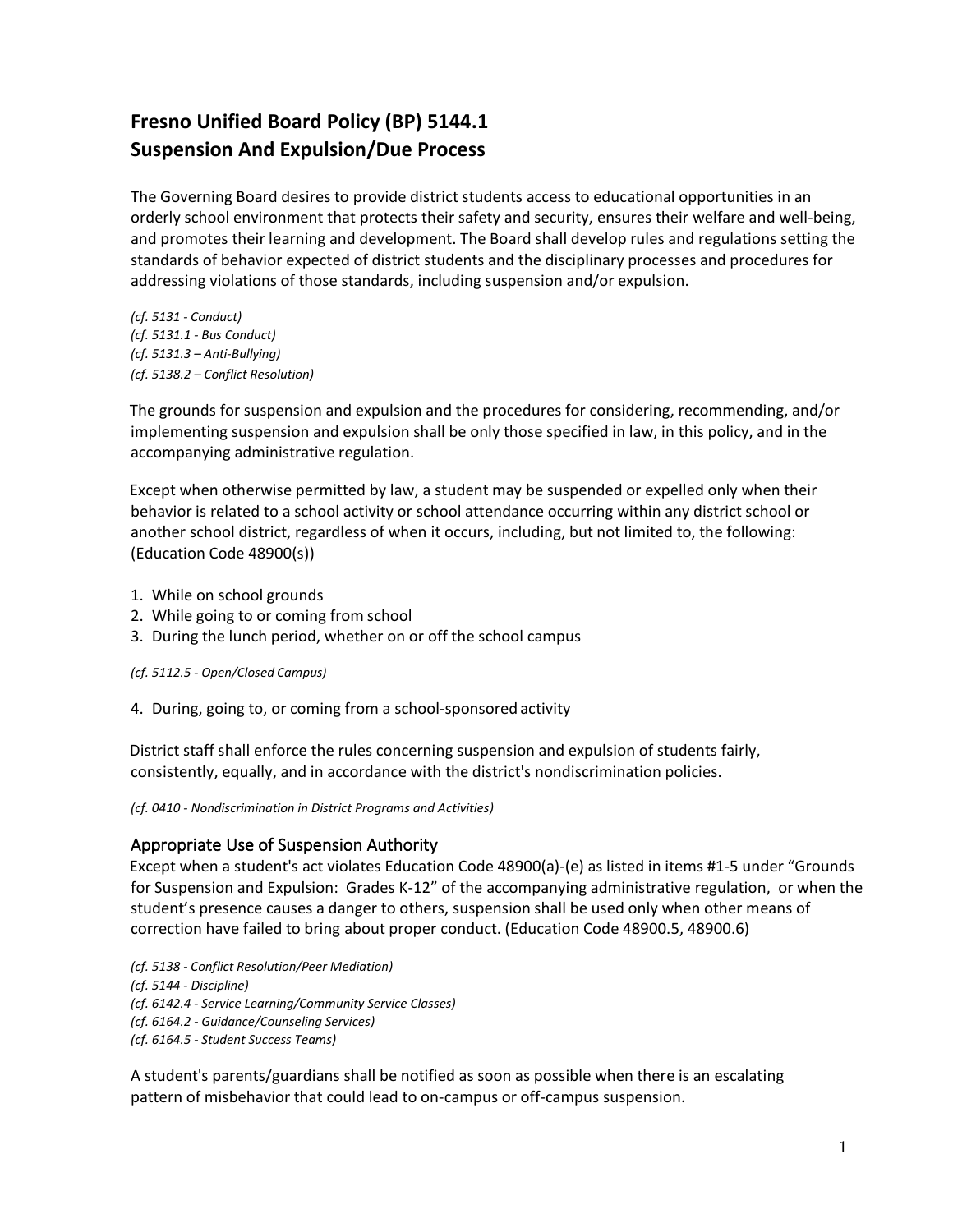# **Fresno Unified Board Policy (BP) 5144.1 Suspension And Expulsion/Due Process**

The Governing Board desires to provide district students access to educational opportunities in an orderly school environment that protects their safety and security, ensures their welfare and well-being, and promotes their learning and development. The Board shall develop rules and regulations setting the standards of behavior expected of district students and the disciplinary processes and procedures for addressing violations of those standards, including suspension and/or expulsion.

*(cf. 5131 - Conduct) (cf. 5131.1 - Bus Conduct) (cf. 5131.3 – Anti-Bullying) (cf. 5138.2 – Conflict Resolution)*

The grounds for suspension and expulsion and the procedures for considering, recommending, and/or implementing suspension and expulsion shall be only those specified in law, in this policy, and in the accompanying administrative regulation.

Except when otherwise permitted by law, a student may be suspended or expelled only when their behavior is related to a school activity or school attendance occurring within any district school or another school district, regardless of when it occurs, including, but not limited to, the following: (Education Code 48900(s))

- 1. While on school grounds
- 2. While going to or coming from school
- 3. During the lunch period, whether on or off the school campus

*(cf. 5112.5 - Open/Closed Campus)*

4. During, going to, or coming from a school-sponsored activity

District staff shall enforce the rules concerning suspension and expulsion of students fairly, consistently, equally, and in accordance with the district's nondiscrimination policies.

*(cf. 0410 - Nondiscrimination in District Programs and Activities)*

# Appropriate Use of Suspension Authority

Except when a student's act violates Education Code 48900(a)-(e) as listed in items #1-5 under "Grounds for Suspension and Expulsion: Grades K-12" of the accompanying administrative regulation, or when the student's presence causes a danger to others, suspension shall be used only when other means of correction have failed to bring about proper conduct. (Education Code 48900.5, 48900.6)

*(cf. 5138 - Conflict Resolution/Peer Mediation) (cf. 5144 - Discipline) (cf. 6142.4 - Service Learning/Community Service Classes) (cf. 6164.2 - Guidance/Counseling Services) (cf. 6164.5 - Student Success Teams)*

A student's parents/guardians shall be notified as soon as possible when there is an escalating pattern of misbehavior that could lead to on-campus or off-campus suspension.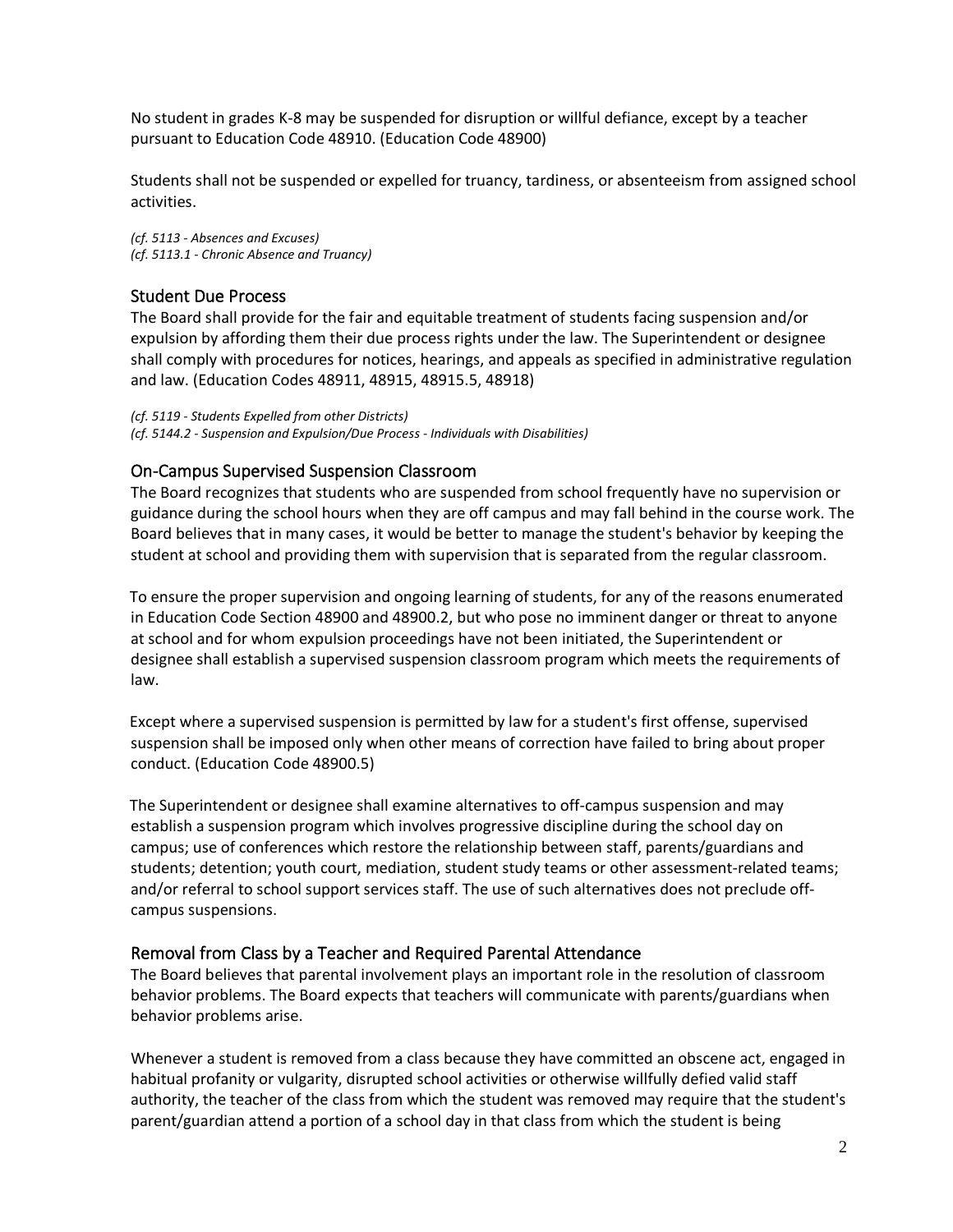No student in grades K-8 may be suspended for disruption or willful defiance, except by a teacher pursuant to Education Code 48910. (Education Code 48900)

Students shall not be suspended or expelled for truancy, tardiness, or absenteeism from assigned school activities.

*(cf. 5113 - Absences and Excuses) (cf. 5113.1 - Chronic Absence and Truancy)*

# Student Due Process

The Board shall provide for the fair and equitable treatment of students facing suspension and/or expulsion by affording them their due process rights under the law. The Superintendent or designee shall comply with procedures for notices, hearings, and appeals as specified in administrative regulation and law. (Education Codes 48911, 48915, 48915.5, 48918)

*(cf. 5119 - Students Expelled from other Districts) (cf. 5144.2 - Suspension and Expulsion/Due Process - Individuals with Disabilities)*

## On-Campus Supervised Suspension Classroom

The Board recognizes that students who are suspended from school frequently have no supervision or guidance during the school hours when they are off campus and may fall behind in the course work. The Board believes that in many cases, it would be better to manage the student's behavior by keeping the student at school and providing them with supervision that is separated from the regular classroom.

To ensure the proper supervision and ongoing learning of students, for any of the reasons enumerated in Education Code Section 48900 and 48900.2, but who pose no imminent danger or threat to anyone at school and for whom expulsion proceedings have not been initiated, the Superintendent or designee shall establish a supervised suspension classroom program which meets the requirements of law.

Except where a supervised suspension is permitted by law for a student's first offense, supervised suspension shall be imposed only when other means of correction have failed to bring about proper conduct. (Education Code 48900.5)

The Superintendent or designee shall examine alternatives to off-campus suspension and may establish a suspension program which involves progressive discipline during the school day on campus; use of conferences which restore the relationship between staff, parents/guardians and students; detention; youth court, mediation, student study teams or other assessment-related teams; and/or referral to school support services staff. The use of such alternatives does not preclude offcampus suspensions.

### Removal from Class by a Teacher and Required Parental Attendance

The Board believes that parental involvement plays an important role in the resolution of classroom behavior problems. The Board expects that teachers will communicate with parents/guardians when behavior problems arise.

Whenever a student is removed from a class because they have committed an obscene act, engaged in habitual profanity or vulgarity, disrupted school activities or otherwise willfully defied valid staff authority, the teacher of the class from which the student was removed may require that the student's parent/guardian attend a portion of a school day in that class from which the student is being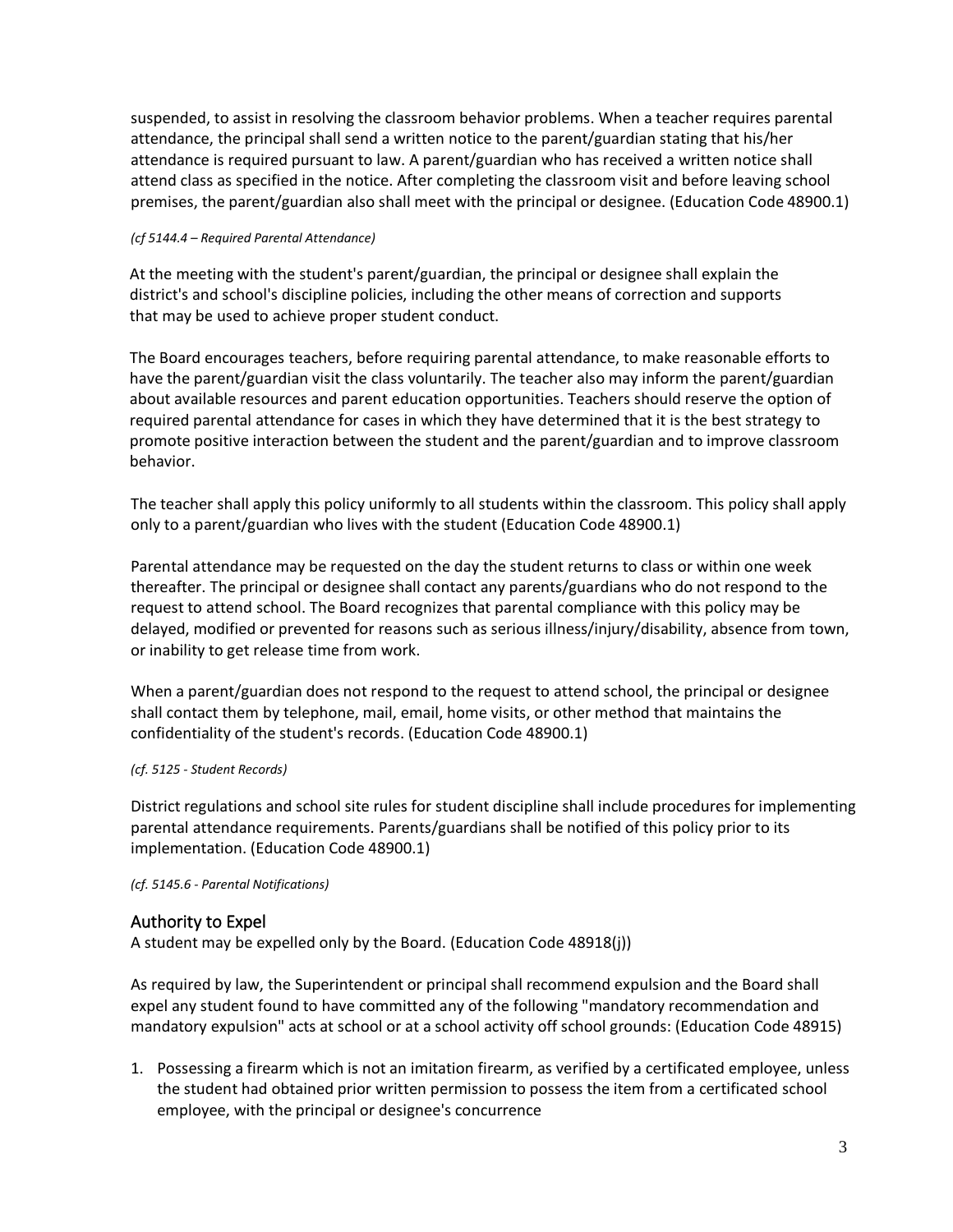suspended, to assist in resolving the classroom behavior problems. When a teacher requires parental attendance, the principal shall send a written notice to the parent/guardian stating that his/her attendance is required pursuant to law. A parent/guardian who has received a written notice shall attend class as specified in the notice. After completing the classroom visit and before leaving school premises, the parent/guardian also shall meet with the principal or designee. (Education Code 48900.1)

#### *(cf 5144.4 – Required Parental Attendance)*

At the meeting with the student's parent/guardian, the principal or designee shall explain the district's and school's discipline policies, including the other means of correction and supports that may be used to achieve proper student conduct.

The Board encourages teachers, before requiring parental attendance, to make reasonable efforts to have the parent/guardian visit the class voluntarily. The teacher also may inform the parent/guardian about available resources and parent education opportunities. Teachers should reserve the option of required parental attendance for cases in which they have determined that it is the best strategy to promote positive interaction between the student and the parent/guardian and to improve classroom behavior.

The teacher shall apply this policy uniformly to all students within the classroom. This policy shall apply only to a parent/guardian who lives with the student (Education Code 48900.1)

Parental attendance may be requested on the day the student returns to class or within one week thereafter. The principal or designee shall contact any parents/guardians who do not respond to the request to attend school. The Board recognizes that parental compliance with this policy may be delayed, modified or prevented for reasons such as serious illness/injury/disability, absence from town, or inability to get release time from work.

When a parent/guardian does not respond to the request to attend school, the principal or designee shall contact them by telephone, mail, email, home visits, or other method that maintains the confidentiality of the student's records. (Education Code 48900.1)

### *(cf. 5125 - Student Records)*

District regulations and school site rules for student discipline shall include procedures for implementing parental attendance requirements. Parents/guardians shall be notified of this policy prior to its implementation. (Education Code 48900.1)

### *(cf. 5145.6 - Parental Notifications)*

# Authority to Expel

A student may be expelled only by the Board. (Education Code 48918(j))

As required by law, the Superintendent or principal shall recommend expulsion and the Board shall expel any student found to have committed any of the following "mandatory recommendation and mandatory expulsion" acts at school or at a school activity off school grounds: (Education Code 48915)

1. Possessing a firearm which is not an imitation firearm, as verified by a certificated employee, unless the student had obtained prior written permission to possess the item from a certificated school employee, with the principal or designee's concurrence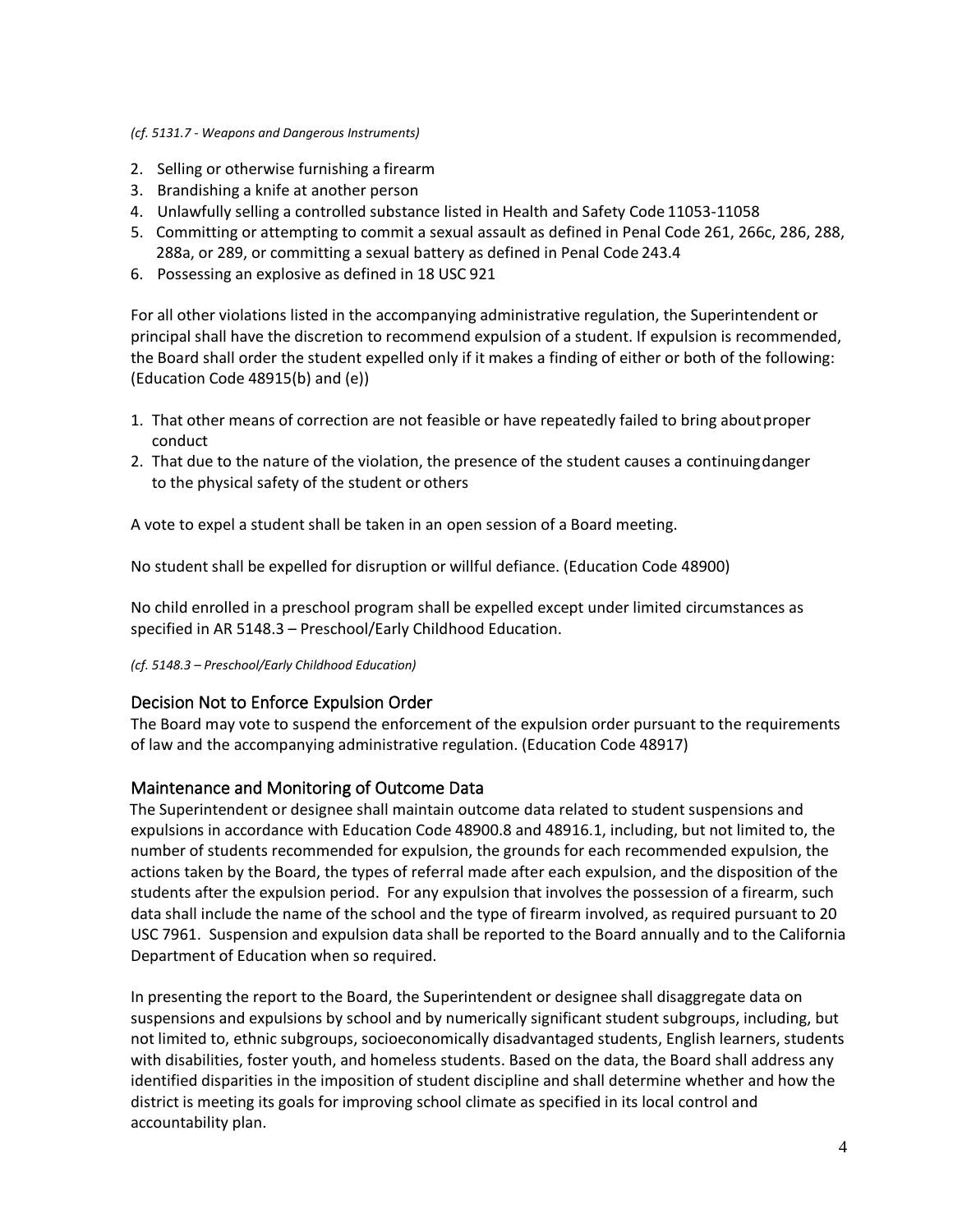#### *(cf. 5131.7 - Weapons and Dangerous Instruments)*

- 2. Selling or otherwise furnishing a firearm
- 3. Brandishing a knife at another person
- 4. Unlawfully selling a controlled substance listed in Health and Safety Code 11053-11058
- 5. Committing or attempting to commit a sexual assault as defined in Penal Code 261, 266c, 286, 288, 288a, or 289, or committing a sexual battery as defined in Penal Code 243.4
- 6. Possessing an explosive as defined in 18 USC 921

For all other violations listed in the accompanying administrative regulation, the Superintendent or principal shall have the discretion to recommend expulsion of a student. If expulsion is recommended, the Board shall order the student expelled only if it makes a finding of either or both of the following: (Education Code 48915(b) and (e))

- 1. That other means of correction are not feasible or have repeatedly failed to bring aboutproper conduct
- 2. That due to the nature of the violation, the presence of the student causes a continuingdanger to the physical safety of the student or others

A vote to expel a student shall be taken in an open session of a Board meeting.

No student shall be expelled for disruption or willful defiance. (Education Code 48900)

No child enrolled in a preschool program shall be expelled except under limited circumstances as specified in AR 5148.3 – Preschool/Early Childhood Education.

*(cf. 5148.3 – Preschool/Early Childhood Education)*

### Decision Not to Enforce Expulsion Order

The Board may vote to suspend the enforcement of the expulsion order pursuant to the requirements of law and the accompanying administrative regulation. (Education Code 48917)

### Maintenance and Monitoring of Outcome Data

The Superintendent or designee shall maintain outcome data related to student suspensions and expulsions in accordance with Education Code 48900.8 and 48916.1, including, but not limited to, the number of students recommended for expulsion, the grounds for each recommended expulsion, the actions taken by the Board, the types of referral made after each expulsion, and the disposition of the students after the expulsion period. For any expulsion that involves the possession of a firearm, such data shall include the name of the school and the type of firearm involved, as required pursuant to 20 USC 7961. Suspension and expulsion data shall be reported to the Board annually and to the California Department of Education when so required.

In presenting the report to the Board, the Superintendent or designee shall disaggregate data on suspensions and expulsions by school and by numerically significant student subgroups, including, but not limited to, ethnic subgroups, socioeconomically disadvantaged students, English learners, students with disabilities, foster youth, and homeless students. Based on the data, the Board shall address any identified disparities in the imposition of student discipline and shall determine whether and how the district is meeting its goals for improving school climate as specified in its local control and accountability plan.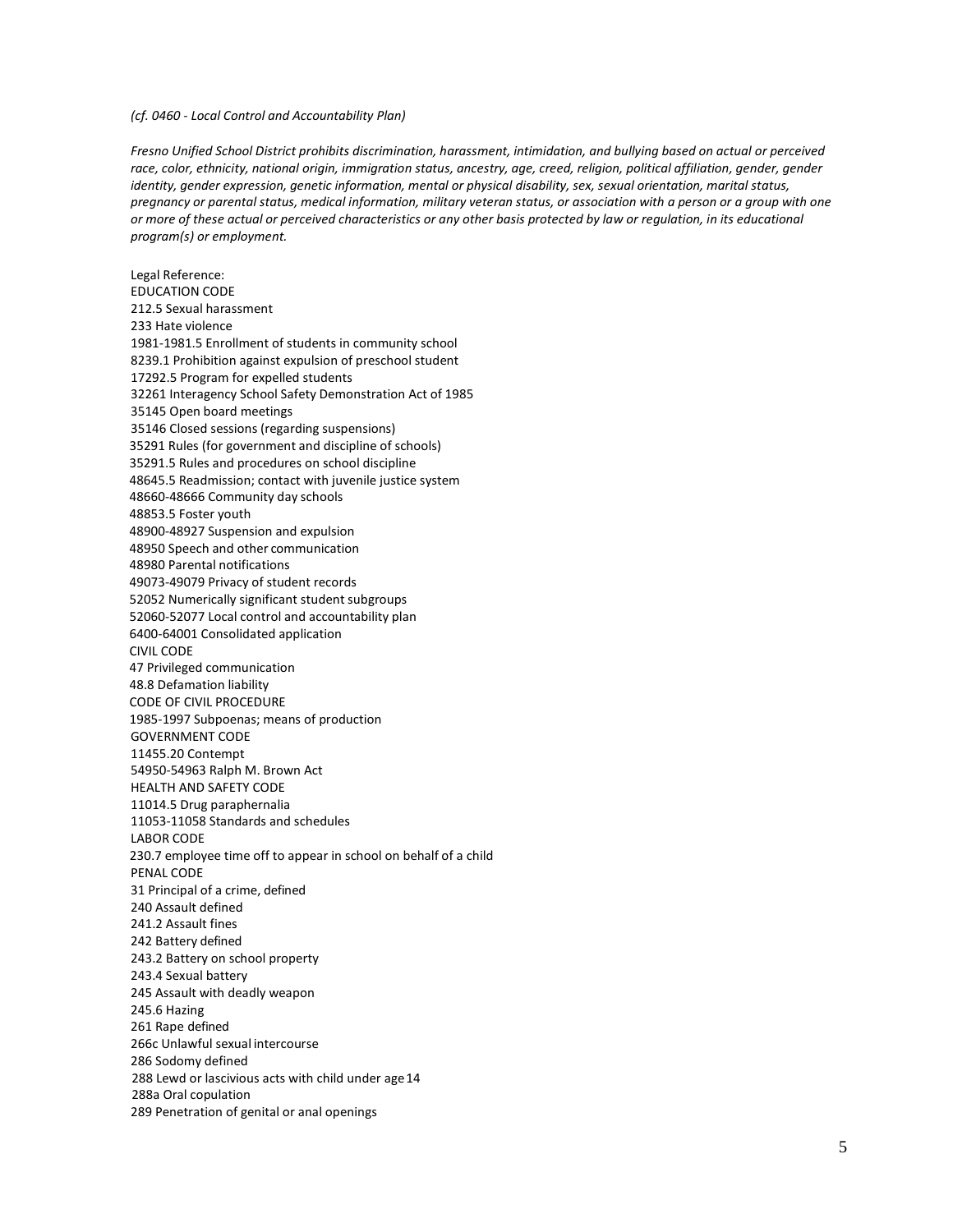#### *(cf. 0460 - Local Control and Accountability Plan)*

*Fresno Unified School District prohibits discrimination, harassment, intimidation, and bullying based on actual or perceived*  race, color, ethnicity, national origin, immigration status, ancestry, age, creed, religion, political affiliation, gender, gender *identity, gender expression, genetic information, mental or physical disability, sex, sexual orientation, marital status, pregnancy or parental status, medical information, military veteran status, or association with a person or a group with one or more of these actual or perceived characteristics or any other basis protected by law or regulation, in its educational program(s) or employment.*

Legal Reference: EDUCATION CODE 212.5 Sexual harassment 233 Hate violence 1981-1981.5 Enrollment of students in community school 8239.1 Prohibition against expulsion of preschool student 17292.5 Program for expelled students 32261 Interagency School Safety Demonstration Act of 1985 35145 Open board meetings 35146 Closed sessions (regarding suspensions) 35291 Rules (for government and discipline of schools) 35291.5 Rules and procedures on school discipline 48645.5 Readmission; contact with juvenile justice system 48660-48666 Community day schools 48853.5 Foster youth 48900-48927 Suspension and expulsion 48950 Speech and other communication 48980 Parental notifications 49073-49079 Privacy of student records 52052 Numerically significant student subgroups 52060-52077 Local control and accountability plan 6400-64001 Consolidated application CIVIL CODE 47 Privileged communication 48.8 Defamation liability CODE OF CIVIL PROCEDURE 1985-1997 Subpoenas; means of production GOVERNMENT CODE 11455.20 Contempt 54950-54963 Ralph M. Brown Act HEALTH AND SAFETY CODE 11014.5 Drug paraphernalia 11053-11058 Standards and schedules LABOR CODE 230.7 employee time off to appear in school on behalf of a child PENAL CODE 31 Principal of a crime, defined 240 Assault defined 241.2 Assault fines 242 Battery defined 243.2 Battery on school property 243.4 Sexual battery 245 Assault with deadly weapon 245.6 Hazing 261 Rape defined 266c Unlawful sexual intercourse 286 Sodomy defined 288 Lewd or lascivious acts with child under age 14 288a Oral copulation 289 Penetration of genital or anal openings